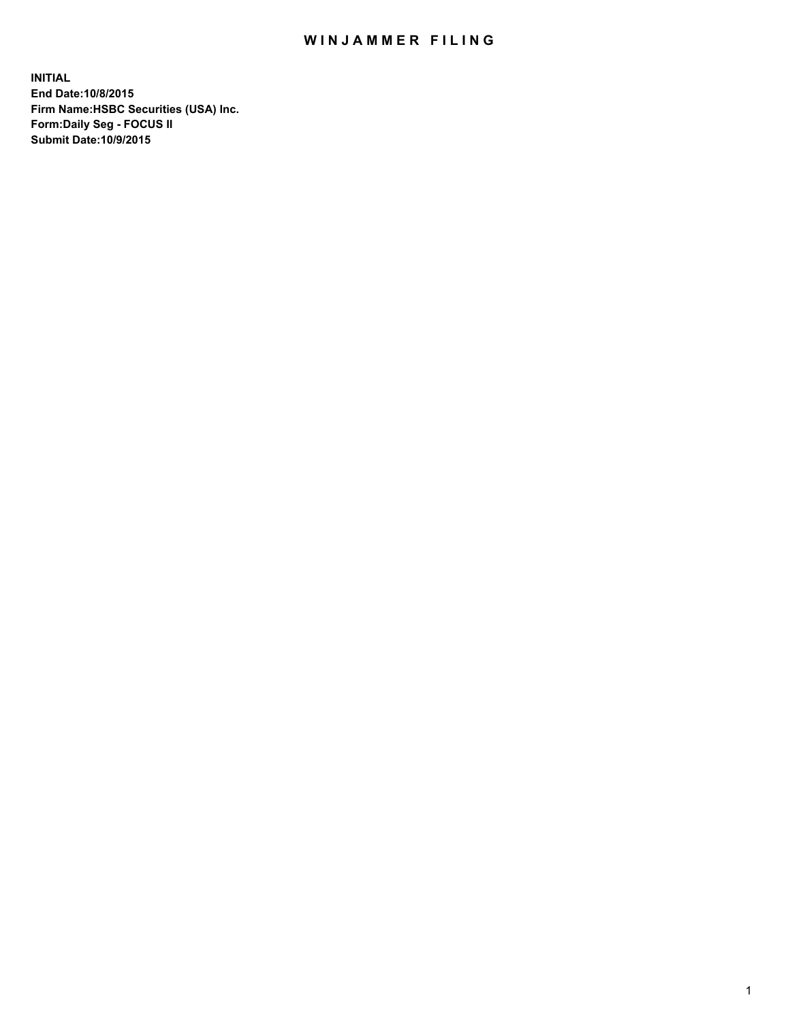## WIN JAMMER FILING

**INITIAL End Date:10/8/2015 Firm Name:HSBC Securities (USA) Inc. Form:Daily Seg - FOCUS II Submit Date:10/9/2015**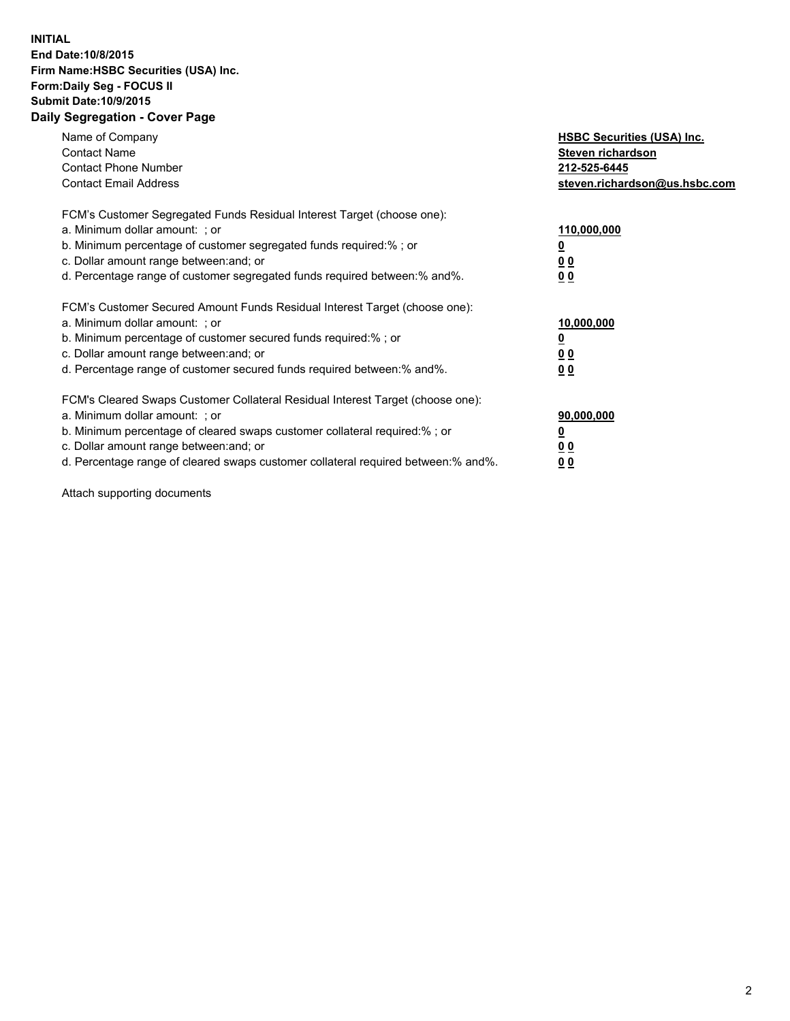## **INITIAL End Date:10/8/2015 Firm Name:HSBC Securities (USA) Inc. Form:Daily Seg - FOCUS II Submit Date:10/9/2015 Daily Segregation - Cover Page**

| Name of Company<br><b>Contact Name</b><br><b>Contact Phone Number</b><br><b>Contact Email Address</b>                                                                                                                                                                                                                         | <b>HSBC Securities (USA) Inc.</b><br>Steven richardson<br>212-525-6445<br>steven.richardson@us.hsbc.com |
|-------------------------------------------------------------------------------------------------------------------------------------------------------------------------------------------------------------------------------------------------------------------------------------------------------------------------------|---------------------------------------------------------------------------------------------------------|
| FCM's Customer Segregated Funds Residual Interest Target (choose one):<br>a. Minimum dollar amount: ; or<br>b. Minimum percentage of customer segregated funds required:%; or<br>c. Dollar amount range between: and; or<br>d. Percentage range of customer segregated funds required between:% and%.                         | 110,000,000<br>0 <sub>0</sub><br>0 <sub>0</sub>                                                         |
| FCM's Customer Secured Amount Funds Residual Interest Target (choose one):<br>a. Minimum dollar amount: ; or<br>b. Minimum percentage of customer secured funds required:%; or<br>c. Dollar amount range between: and; or<br>d. Percentage range of customer secured funds required between:% and%.                           | 10,000,000<br>0 <sub>0</sub><br>00                                                                      |
| FCM's Cleared Swaps Customer Collateral Residual Interest Target (choose one):<br>a. Minimum dollar amount: ; or<br>b. Minimum percentage of cleared swaps customer collateral required:%; or<br>c. Dollar amount range between: and; or<br>d. Percentage range of cleared swaps customer collateral required between:% and%. | 90,000,000<br><u>00</u><br><u>00</u>                                                                    |

Attach supporting documents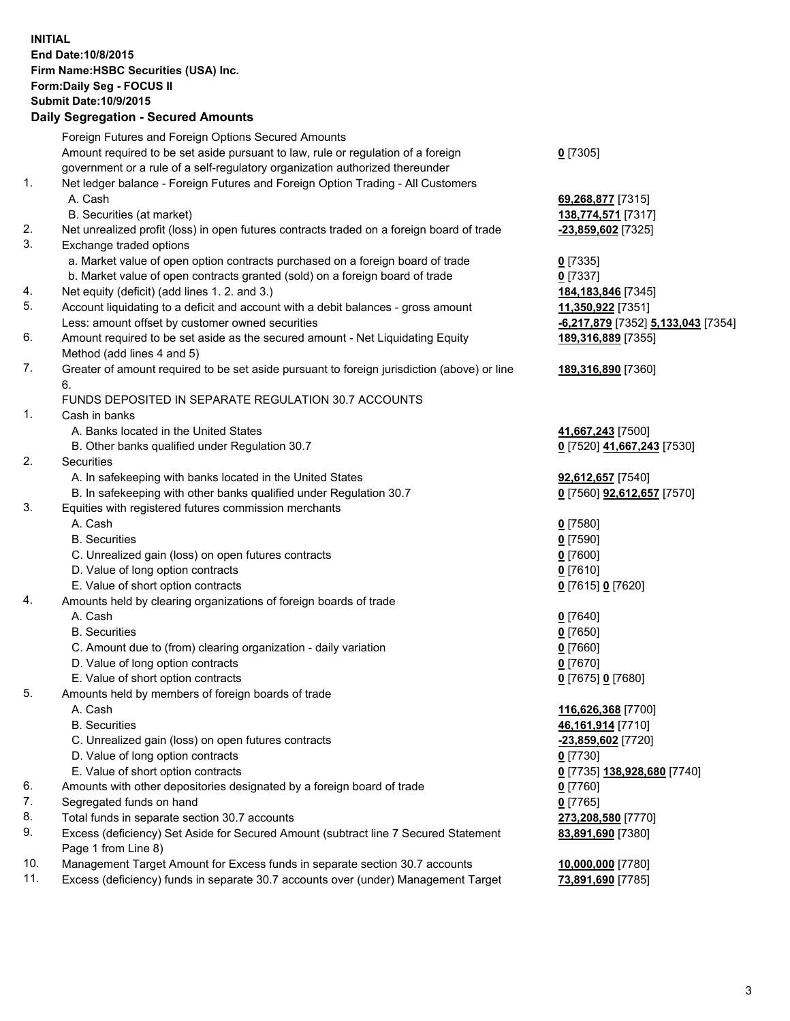**INITIAL End Date:10/8/2015 Firm Name:HSBC Securities (USA) Inc. Form:Daily Seg - FOCUS II Submit Date:10/9/2015 Daily Segregation - Secured Amounts**

|     | Foreign Futures and Foreign Options Secured Amounts                                         |                                    |
|-----|---------------------------------------------------------------------------------------------|------------------------------------|
|     | Amount required to be set aside pursuant to law, rule or regulation of a foreign            | $0$ [7305]                         |
|     | government or a rule of a self-regulatory organization authorized thereunder                |                                    |
| 1.  | Net ledger balance - Foreign Futures and Foreign Option Trading - All Customers             |                                    |
|     | A. Cash                                                                                     | 69,268,877 [7315]                  |
|     | B. Securities (at market)                                                                   | 138,774,571 [7317]                 |
| 2.  | Net unrealized profit (loss) in open futures contracts traded on a foreign board of trade   | -23,859,602 [7325]                 |
| 3.  | Exchange traded options                                                                     |                                    |
|     | a. Market value of open option contracts purchased on a foreign board of trade              | $0$ [7335]                         |
|     | b. Market value of open contracts granted (sold) on a foreign board of trade                | $0$ [7337]                         |
| 4.  | Net equity (deficit) (add lines 1.2. and 3.)                                                | 184,183,846 [7345]                 |
| 5.  | Account liquidating to a deficit and account with a debit balances - gross amount           | 11,350,922 [7351]                  |
|     | Less: amount offset by customer owned securities                                            | -6,217,879 [7352] 5,133,043 [7354] |
| 6.  | Amount required to be set aside as the secured amount - Net Liquidating Equity              | 189,316,889 [7355]                 |
|     | Method (add lines 4 and 5)                                                                  |                                    |
| 7.  | Greater of amount required to be set aside pursuant to foreign jurisdiction (above) or line | 189,316,890 [7360]                 |
|     | 6.                                                                                          |                                    |
|     | FUNDS DEPOSITED IN SEPARATE REGULATION 30.7 ACCOUNTS                                        |                                    |
| 1.  | Cash in banks                                                                               |                                    |
|     | A. Banks located in the United States                                                       | 41,667,243 [7500]                  |
|     | B. Other banks qualified under Regulation 30.7                                              | 0 [7520] 41,667,243 [7530]         |
| 2.  | Securities                                                                                  |                                    |
|     | A. In safekeeping with banks located in the United States                                   | 92,612,657 [7540]                  |
|     | B. In safekeeping with other banks qualified under Regulation 30.7                          | 0 [7560] 92,612,657 [7570]         |
| 3.  | Equities with registered futures commission merchants                                       |                                    |
|     | A. Cash                                                                                     | $0$ [7580]                         |
|     | <b>B.</b> Securities                                                                        | $0$ [7590]                         |
|     | C. Unrealized gain (loss) on open futures contracts                                         | $0$ [7600]                         |
|     | D. Value of long option contracts                                                           | $0$ [7610]                         |
|     | E. Value of short option contracts                                                          | 0 [7615] 0 [7620]                  |
| 4.  | Amounts held by clearing organizations of foreign boards of trade                           |                                    |
|     | A. Cash                                                                                     | $0$ [7640]                         |
|     | <b>B.</b> Securities                                                                        | $0$ [7650]                         |
|     | C. Amount due to (from) clearing organization - daily variation                             | $0$ [7660]                         |
|     | D. Value of long option contracts                                                           | $0$ [7670]                         |
|     | E. Value of short option contracts                                                          | 0 [7675] 0 [7680]                  |
| 5.  | Amounts held by members of foreign boards of trade                                          |                                    |
|     | A. Cash                                                                                     | 116,626,368 [7700]                 |
|     | <b>B.</b> Securities                                                                        | 46, 161, 914 [7710]                |
|     | C. Unrealized gain (loss) on open futures contracts                                         | -23,859,602 [7720]                 |
|     | D. Value of long option contracts                                                           | $0$ [7730]                         |
|     | E. Value of short option contracts                                                          | 0 [7735] 138,928,680 [7740]        |
| 6.  | Amounts with other depositories designated by a foreign board of trade                      | $0$ [7760]                         |
| 7.  | Segregated funds on hand                                                                    | $0$ [7765]                         |
| 8.  | Total funds in separate section 30.7 accounts                                               | 273,208,580 [7770]                 |
| 9.  | Excess (deficiency) Set Aside for Secured Amount (subtract line 7 Secured Statement         | 83,891,690 [7380]                  |
|     | Page 1 from Line 8)                                                                         |                                    |
| 10. | Management Target Amount for Excess funds in separate section 30.7 accounts                 | 10,000,000 [7780]                  |
| 11. | Excess (deficiency) funds in separate 30.7 accounts over (under) Management Target          | 73,891,690 [7785]                  |
|     |                                                                                             |                                    |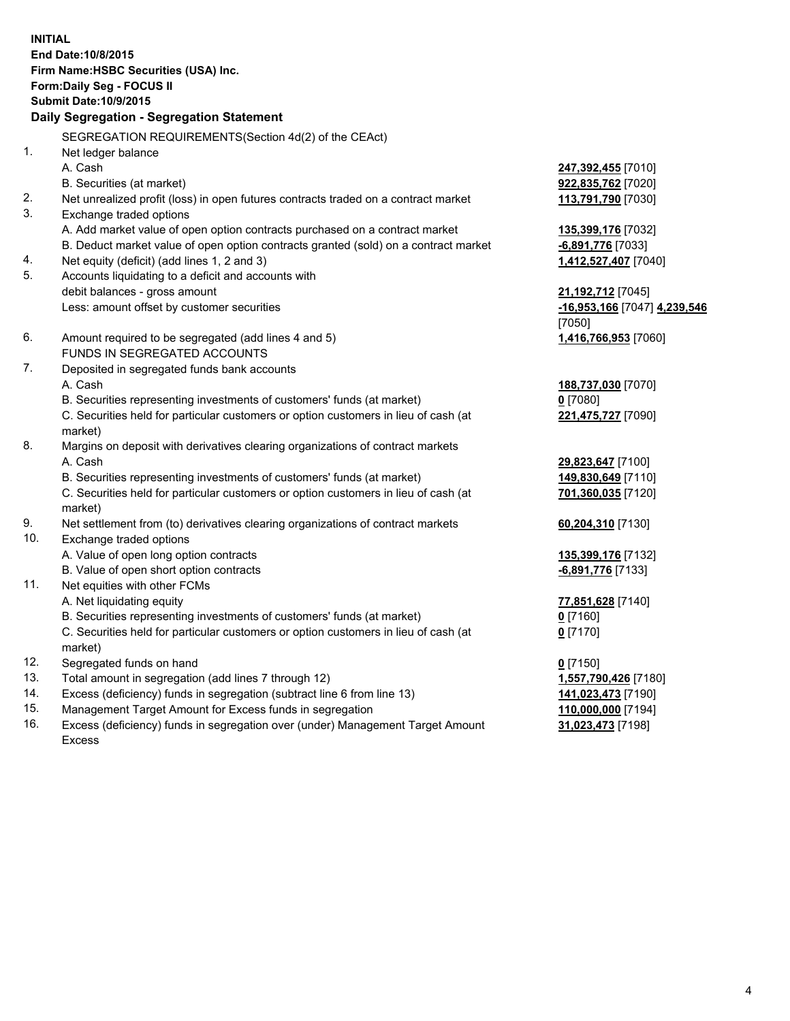**INITIAL End Date:10/8/2015 Firm Name:HSBC Securities (USA) Inc. Form:Daily Seg - FOCUS II Submit Date:10/9/2015 Daily Segregation - Segregation Statement** SEGREGATION REQUIREMENTS(Section 4d(2) of the CEAct) 1. Net ledger balance A. Cash **247,392,455** [7010] B. Securities (at market) **922,835,762** [7020] 2. Net unrealized profit (loss) in open futures contracts traded on a contract market **113,791,790** [7030] 3. Exchange traded options A. Add market value of open option contracts purchased on a contract market **135,399,176** [7032] B. Deduct market value of open option contracts granted (sold) on a contract market **-6,891,776** [7033] 4. Net equity (deficit) (add lines 1, 2 and 3) **1,412,527,407** [7040] 5. Accounts liquidating to a deficit and accounts with debit balances - gross amount **21,192,712** [7045] Less: amount offset by customer securities **-16,953,166** [7047] **4,239,546** [7050] 6. Amount required to be segregated (add lines 4 and 5) **1,416,766,953** [7060] FUNDS IN SEGREGATED ACCOUNTS 7. Deposited in segregated funds bank accounts A. Cash **188,737,030** [7070] B. Securities representing investments of customers' funds (at market) **0** [7080] C. Securities held for particular customers or option customers in lieu of cash (at market) **221,475,727** [7090] 8. Margins on deposit with derivatives clearing organizations of contract markets A. Cash **29,823,647** [7100] B. Securities representing investments of customers' funds (at market) **149,830,649** [7110] C. Securities held for particular customers or option customers in lieu of cash (at market) **701,360,035** [7120] 9. Net settlement from (to) derivatives clearing organizations of contract markets **60,204,310** [7130] 10. Exchange traded options A. Value of open long option contracts **135,399,176** [7132] B. Value of open short option contracts **-6,891,776** [7133] 11. Net equities with other FCMs A. Net liquidating equity **77,851,628** [7140] B. Securities representing investments of customers' funds (at market) **0** [7160] C. Securities held for particular customers or option customers in lieu of cash (at market) **0** [7170] 12. Segregated funds on hand **0** [7150] 13. Total amount in segregation (add lines 7 through 12) **1,557,790,426** [7180] 14. Excess (deficiency) funds in segregation (subtract line 6 from line 13) **141,023,473** [7190] 15. Management Target Amount for Excess funds in segregation **110,000,000** [7194]

16. Excess (deficiency) funds in segregation over (under) Management Target Amount Excess

**31,023,473** [7198]